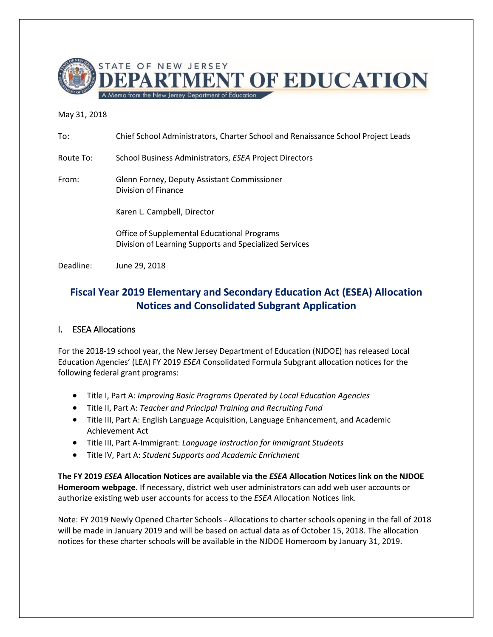

# May 31, 2018

| To:       | Chief School Administrators, Charter School and Renaissance School Project Leads                      |
|-----------|-------------------------------------------------------------------------------------------------------|
| Route To: | School Business Administrators, ESEA Project Directors                                                |
| From:     | Glenn Forney, Deputy Assistant Commissioner<br>Division of Finance                                    |
|           | Karen L. Campbell, Director                                                                           |
|           | Office of Supplemental Educational Programs<br>Division of Learning Supports and Specialized Services |
| Deadline: | June 29, 2018                                                                                         |

# **Fiscal Year 2019 Elementary and Secondary Education Act (ESEA) Allocation Notices and Consolidated Subgrant Application**

# I. ESEA Allocations

For the 2018-19 school year, the New Jersey Department of Education (NJDOE) has released Local Education Agencies' (LEA) FY 2019 *ESEA* Consolidated Formula Subgrant allocation notices for the following federal grant programs:

- Title I, Part A: *Improving Basic Programs Operated by Local Education Agencies*
- Title II, Part A: *Teacher and Principal Training and Recruiting Fund*
- Title III, Part A: English Language Acquisition, Language Enhancement, and Academic Achievement Act
- Title III, Part A-Immigrant: *Language Instruction for Immigrant Students*
- Title IV, Part A: *Student Supports and Academic Enrichment*

**The FY 2019** *ESEA* **Allocation Notices are available via the** *ESEA* **Allocation Notices link on the [NJDOE](http://homeroom.state.nj.us/)  [Homeroom](http://homeroom.state.nj.us/) webpage.** If necessary, district web user administrators can add web user accounts or authorize existing web user accounts for access to the *ESEA* Allocation Notices link.

Note: FY 2019 Newly Opened Charter Schools - Allocations to charter schools opening in the fall of 2018 will be made in January 2019 and will be based on actual data as of October 15, 2018. The allocation notices for these charter schools will be available in the NJDOE Homeroom by January 31, 2019.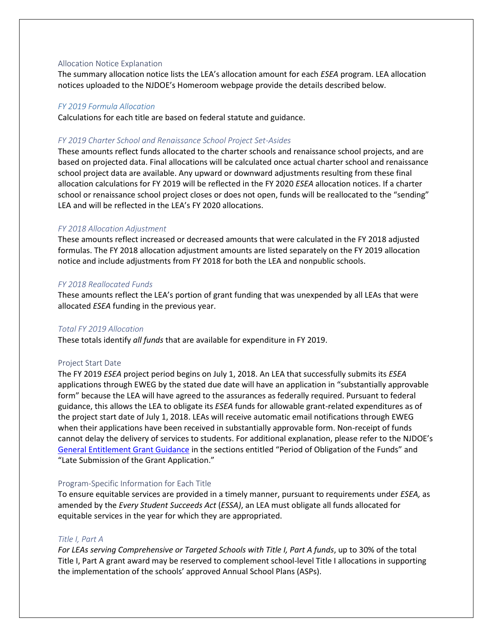#### Allocation Notice Explanation

The summary allocation notice lists the LEA's allocation amount for each *ESEA* program. LEA allocation notices uploaded to the NJDOE's Homeroom webpage provide the details described below.

### *FY 2019 Formula Allocation*

Calculations for each title are based on federal statute and guidance.

### *FY 2019 Charter School and Renaissance School Project Set-Asides*

These amounts reflect funds allocated to the charter schools and renaissance school projects, and are based on projected data. Final allocations will be calculated once actual charter school and renaissance school project data are available. Any upward or downward adjustments resulting from these final allocation calculations for FY 2019 will be reflected in the FY 2020 *ESEA* allocation notices. If a charter school or renaissance school project closes or does not open, funds will be reallocated to the "sending" LEA and will be reflected in the LEA's FY 2020 allocations.

#### *FY 2018 Allocation Adjustment*

These amounts reflect increased or decreased amounts that were calculated in the FY 2018 adjusted formulas. The FY 2018 allocation adjustment amounts are listed separately on the FY 2019 allocation notice and include adjustments from FY 2018 for both the LEA and nonpublic schools.

#### *FY 2018 Reallocated Funds*

These amounts reflect the LEA's portion of grant funding that was unexpended by all LEAs that were allocated *ESEA* funding in the previous year.

### *Total FY 2019 Allocation*

These totals identify *all funds* that are available for expenditure in FY 2019.

#### Project Start Date

The FY 2019 *ESEA* project period begins on July 1, 2018. An LEA that successfully submits its *ESEA* applications through EWEG by the stated due date will have an application in "substantially approvable form" because the LEA will have agreed to the assurances as federally required. Pursuant to federal guidance, this allows the LEA to obligate its *ESEA* funds for allowable grant-related expenditures as of the project start date of July 1, 2018. LEAs will receive automatic email notifications through EWEG when their applications have been received in substantially approvable form. Non-receipt of funds cannot delay the delivery of services to students. For additional explanation, please refer to the NJDOE's [General Entitlement Grant Guidance](http://www.state.nj.us/education/grants/entitlement/EntitlementGrantApplicationGeneralGuidance.pdf) in the sections entitled "Period of Obligation of the Funds" and "Late Submission of the Grant Application."

#### Program-Specific Information for Each Title

To ensure equitable services are provided in a timely manner, pursuant to requirements under *ESEA,* as amended by the *Every Student Succeeds Act* (*ESSA)*, an LEA must obligate all funds allocated for equitable services in the year for which they are appropriated.

### *Title I, Part A*

*For LEAs serving Comprehensive or Targeted Schools with Title I, Part A funds*, up to 30% of the total Title I, Part A grant award may be reserved to complement school-level Title I allocations in supporting the implementation of the schools' approved Annual School Plans (ASPs).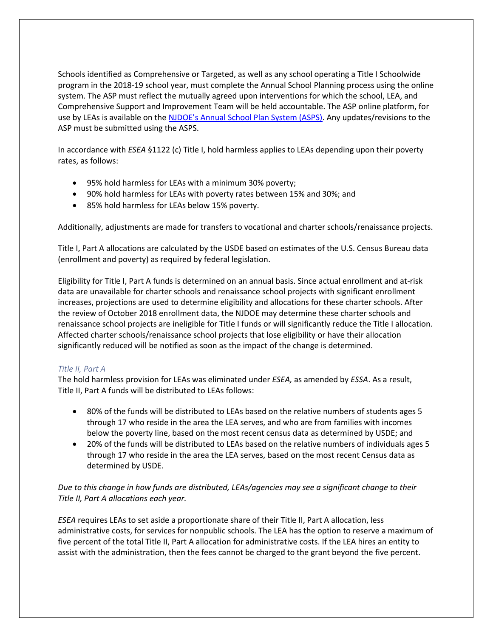Schools identified as Comprehensive or Targeted, as well as any school operating a Title I Schoolwide program in the 2018-19 school year, must complete the Annual School Planning process using the online system. The ASP must reflect the mutually agreed upon interventions for which the school, LEA, and Comprehensive Support and Improvement Team will be held accountable. The ASP online platform, for use by LEAs is available on the NJDOE's [Annual School Plan System \(ASPS\).](https://homeroom4.doe.state.nj.us/asps/login) Any updates/revisions to the ASP must be submitted using the ASPS.

In accordance with *ESEA* §1122 (c) Title I, hold harmless applies to LEAs depending upon their poverty rates, as follows:

- 95% hold harmless for LEAs with a minimum 30% poverty;
- 90% hold harmless for LEAs with poverty rates between 15% and 30%; and
- 85% hold harmless for LEAs below 15% poverty.

Additionally, adjustments are made for transfers to vocational and charter schools/renaissance projects.

Title I, Part A allocations are calculated by the USDE based on estimates of the U.S. Census Bureau data (enrollment and poverty) as required by federal legislation.

Eligibility for Title I, Part A funds is determined on an annual basis. Since actual enrollment and at-risk data are unavailable for charter schools and renaissance school projects with significant enrollment increases, projections are used to determine eligibility and allocations for these charter schools. After the review of October 2018 enrollment data, the NJDOE may determine these charter schools and renaissance school projects are ineligible for Title I funds or will significantly reduce the Title I allocation. Affected charter schools/renaissance school projects that lose eligibility or have their allocation significantly reduced will be notified as soon as the impact of the change is determined.

# *Title II, Part A*

The hold harmless provision for LEAs was eliminated under *ESEA,* as amended by *ESSA*. As a result, Title II, Part A funds will be distributed to LEAs follows:

- 80% of the funds will be distributed to LEAs based on the relative numbers of students ages 5 through 17 who reside in the area the LEA serves, and who are from families with incomes below the poverty line, based on the most recent census data as determined by USDE; and
- 20% of the funds will be distributed to LEAs based on the relative numbers of individuals ages 5 through 17 who reside in the area the LEA serves, based on the most recent Census data as determined by USDE.

# *Due to this change in how funds are distributed, LEAs/agencies may see a significant change to their Title II, Part A allocations each year.*

*ESEA* requires LEAs to set aside a proportionate share of their Title II, Part A allocation, less administrative costs, for services for nonpublic schools. The LEA has the option to reserve a maximum of five percent of the total Title II, Part A allocation for administrative costs. If the LEA hires an entity to assist with the administration, then the fees cannot be charged to the grant beyond the five percent.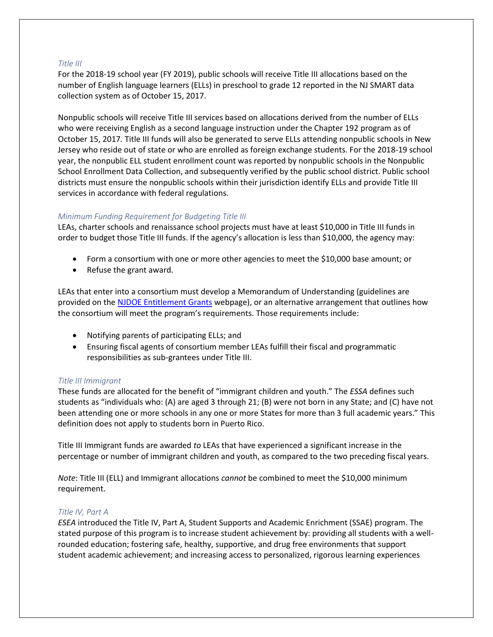## *Title III*

For the 2018-19 school year (FY 2019), public schools will receive Title III allocations based on the number of English language learners (ELLs) in preschool to grade 12 reported in the NJ SMART data collection system as of October 15, 2017.

Nonpublic schools will receive Title III services based on allocations derived from the number of ELLs who were receiving English as a second language instruction under the Chapter 192 program as of October 15, 2017*.* Title III funds will also be generated to serve ELLs attending nonpublic schools in New Jersey who reside out of state or who are enrolled as foreign exchange students. For the 2018-19 school year, the nonpublic ELL student enrollment count was reported by nonpublic schools in the Nonpublic School Enrollment Data Collection, and subsequently verified by the public school district. Public school districts must ensure the nonpublic schools within their jurisdiction identify ELLs and provide Title III services in accordance with federal regulations.

## *Minimum Funding Requirement for Budgeting Title III*

LEAs, charter schools and renaissance school projects must have at least \$10,000 in Title III funds in order to budget those Title III funds. If the agency's allocation is less than \$10,000, the agency may:

- Form a consortium with one or more other agencies to meet the \$10,000 base amount; or
- Refuse the grant award.

LEAs that enter into a consortium must develop a Memorandum of Understanding (guidelines are provided on the [NJDOE Entitlement Grants](http://www.nj.gov/education/grants/entitlement/nclb/) webpage), or an alternative arrangement that outlines how the consortium will meet the program's requirements. Those requirements include:

- Notifying parents of participating ELLs; and
- Ensuring fiscal agents of consortium member LEAs fulfill their fiscal and programmatic responsibilities as sub-grantees under Title III.

# *Title III Immigrant*

These funds are allocated for the benefit of "immigrant children and youth." The *ESSA* defines such students as "individuals who: (A) are aged 3 through 21; (B) were not born in any State; and (C) have not been attending one or more schools in any one or more States for more than 3 full academic years." This definition does not apply to students born in Puerto Rico.

Title III Immigrant funds are awarded *to* LEAs that have experienced a significant increase in the percentage or number of immigrant children and youth, as compared to the two preceding fiscal years.

*Note*: Title III (ELL) and Immigrant allocations *cannot* be combined to meet the \$10,000 minimum requirement.

### *Title IV, Part A*

*ESEA* introduced the Title IV, Part A, Student Supports and Academic Enrichment (SSAE) program. The stated purpose of this program is to increase student achievement by: providing all students with a wellrounded education; fostering safe, healthy, supportive, and drug free environments that support student academic achievement; and increasing access to personalized, rigorous learning experiences